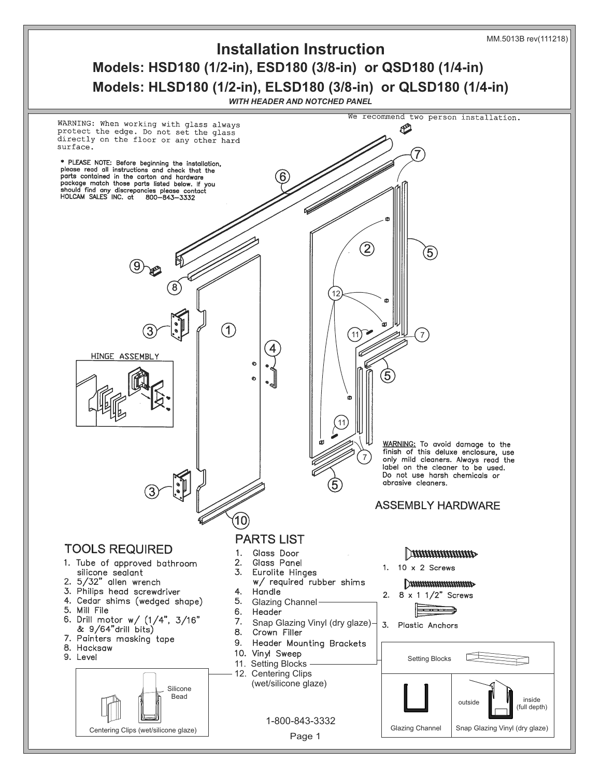

## **Models: HSD180 (1/2-in), ESD180 (3/8-in) or QSD180 (1/4-in) Models: HLSD180 (1/2-in), ELSD180 (3/8-in) or QLSD180 (1/4-in) Installation Instruction**

*WITH HEADER AND NOTCHED PANEL*

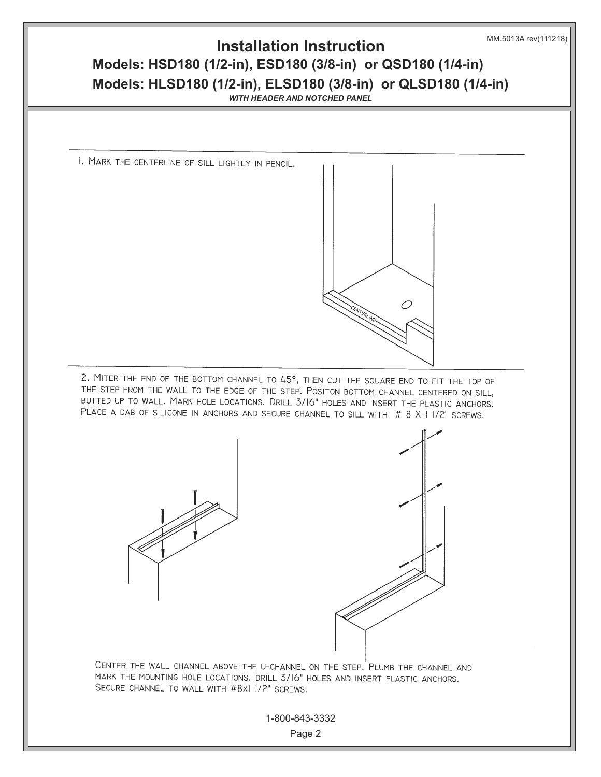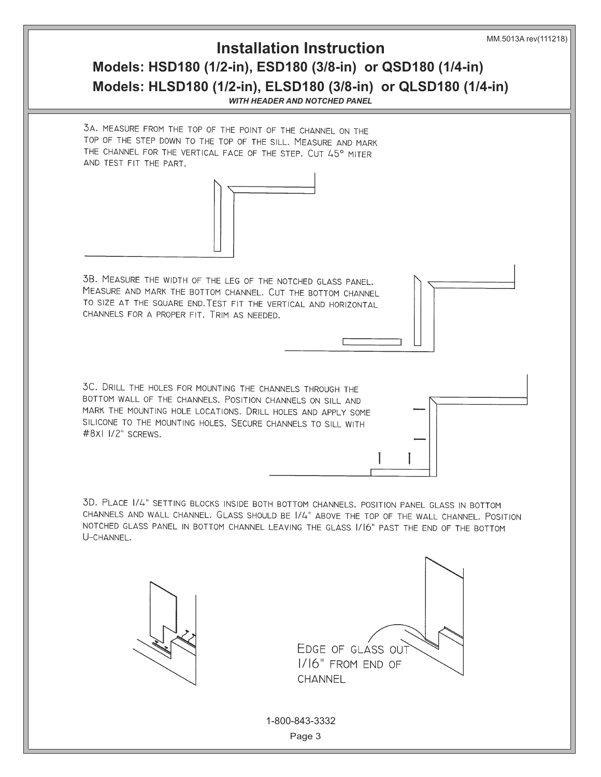## **Models: HSD180 (1/2-in), ESD180 (3/8-in) or QSD180 (1/4-in) Models: HLSD180 (1/2-in), ELSD180 (3/8-in) or QLSD180 (1/4-in) Installation Instruction**

*WITH HEADER AND NOTCHED PANEL*

3A. MEASURE FROM THE TOP OF THE POINT OF THE CHANNEL ON THE TOP OF THE STEP DOWN TO THE TOP OF THE SILL. MEASURE AND MARK THE CHANNEL FOR THE VERTICAL FACE OF THE STEP. CUT 45° MITER AND TEST FIT THE PART.



3B. MEASURE THE WIDTH OF THE LEG OF THE NOTCHED GLASS PANEL. MEASURE AND MARK THE BOTTOM CHANNEL. CUT THE BOTTOM CHANNEL TO SIZE AT THE SQUARE END. TEST FIT THE VERTICAL AND HORIZONTAL CHANNELS FOR A PROPER FIT. TRIM AS NEEDED.

3C. DRILL THE HOLES FOR MOUNTING THE CHANNELS THROUGH THE BOTTOM WALL OF THE CHANNELS. POSITION CHANNELS ON SILL AND MARK THE MOUNTING HOLE LOCATIONS. DRILL HOLES AND APPLY SOME SILICONE TO THE MOUNTING HOLES. SECURE CHANNELS TO SILL WITH #8xl I/2" screws.

3D. PLACE 1/4" SETTING BLOCKS INSIDE BOTH BOTTOM CHANNELS. POSITION PANEL GLASS IN BOTTOM CHANNELS AND WALL CHANNEL. GLASS SHOULD BE 1/4" ABOVE THE TOP OF THE WALL CHANNEL. POSITION NOTCHED GLASS PANEL IN BOTTOM CHANNEL LEAVING THE GLASS 1/16" PAST THE END OF THE BOTTOM U-CHANNEL.



EDGE OF GLASS OUT I/I6" FROM END OF CHANNEL

1-800-843-3332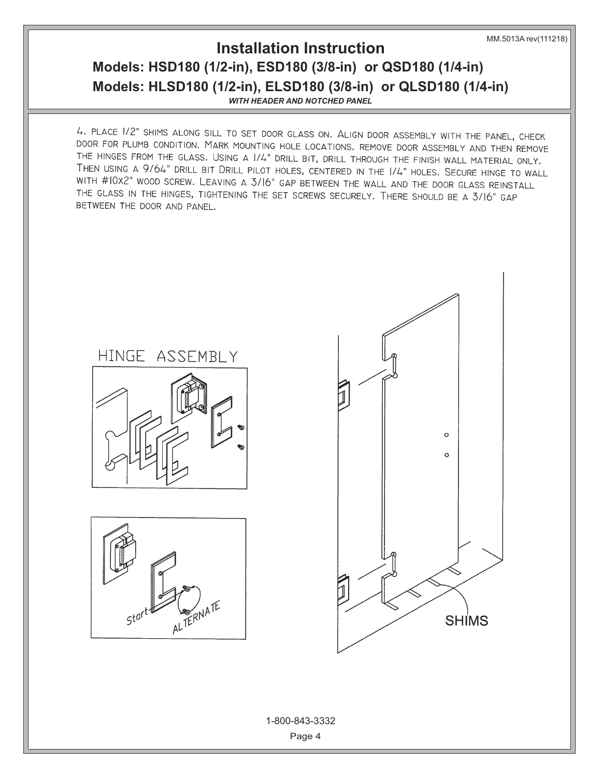MM.5013A rev(111218)

## **Models: HSD180 (1/2-in), ESD180 (3/8-in) or QSD180 (1/4-in) Models: HLSD180 (1/2-in), ELSD180 (3/8-in) or QLSD180 (1/4-in) Installation Instruction**

*WITH HEADER AND NOTCHED PANEL*

4. PLACE 1/2" SHIMS ALONG SILL TO SET DOOR GLASS ON. ALIGN DOOR ASSEMBLY WITH THE PANEL, CHECK DOOR FOR PLUMB CONDITION. MARK MOUNTING HOLE LOCATIONS. REMOVE DOOR ASSEMBLY AND THEN REMOVE THE HINGES FROM THE GLASS. USING A 1/4" DRILL BIT, DRILL THROUGH THE FINISH WALL MATERIAL ONLY. THEN USING A 9/64" DRILL BIT DRILL PILOT HOLES, CENTERED IN THE 1/4" HOLES. SECURE HINGE TO WALL WITH #10x2" WOOD SCREW. LEAVING A 3/16" GAP BETWEEN THE WALL AND THE DOOR GLASS REINSTALL THE GLASS IN THE HINGES, TIGHTENING THE SET SCREWS SECURELY. THERE SHOULD BE A 3/16" GAP BETWEEN THE DOOR AND PANEL.





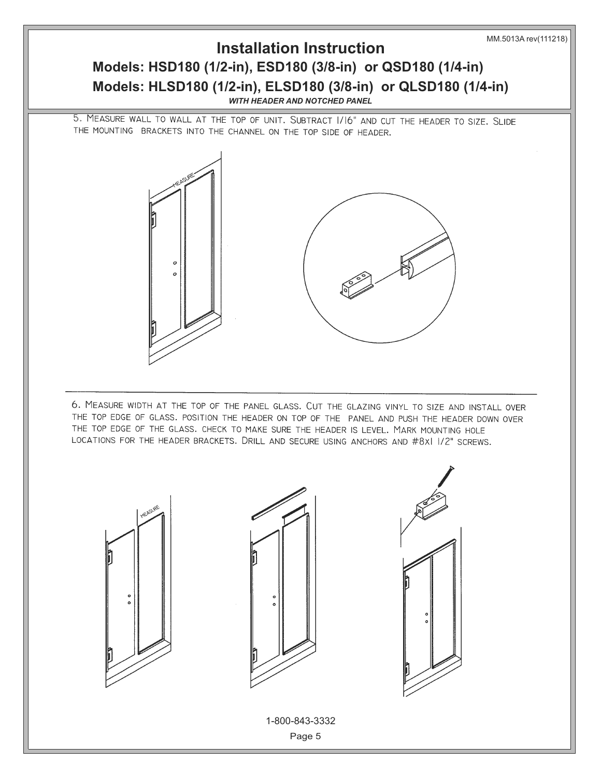